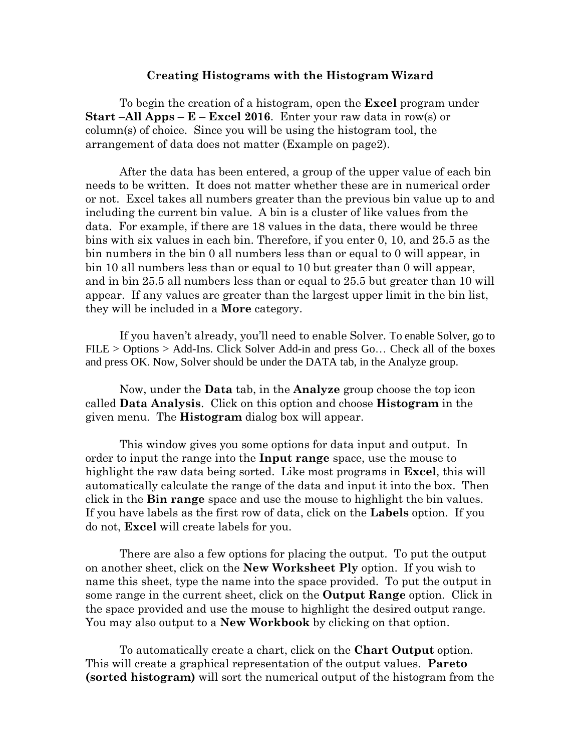## **Creating Histograms with the Histogram Wizard**

To begin the creation of a histogram, open the **Excel** program under **Start** –**All Apps** – **E** – **Excel 2016**. Enter your raw data in row(s) or column(s) of choice. Since you will be using the histogram tool, the arrangement of data does not matter (Example on page2).

After the data has been entered, a group of the upper value of each bin needs to be written. It does not matter whether these are in numerical order or not. Excel takes all numbers greater than the previous bin value up to and including the current bin value. A bin is a cluster of like values from the data. For example, if there are 18 values in the data, there would be three bins with six values in each bin. Therefore, if you enter 0, 10, and 25.5 as the bin numbers in the bin 0 all numbers less than or equal to 0 will appear, in bin 10 all numbers less than or equal to 10 but greater than 0 will appear, and in bin 25.5 all numbers less than or equal to 25.5 but greater than 10 will appear. If any values are greater than the largest upper limit in the bin list, they will be included in a **More** category.

If you haven't already, you'll need to enable Solver. To enable Solver, go to FILE > Options > Add-Ins. Click Solver Add-in and press Go… Check all of the boxes and press OK. Now, Solver should be under the DATA tab, in the Analyze group.

Now, under the **Data** tab, in the **Analyze** group choose the top icon called **Data Analysis**. Click on this option and choose **Histogram** in the given menu. The **Histogram** dialog box will appear.

This window gives you some options for data input and output. In order to input the range into the **Input range** space, use the mouse to highlight the raw data being sorted. Like most programs in **Excel**, this will automatically calculate the range of the data and input it into the box. Then click in the **Bin range** space and use the mouse to highlight the bin values. If you have labels as the first row of data, click on the **Labels** option. If you do not, **Excel** will create labels for you.

There are also a few options for placing the output. To put the output on another sheet, click on the **New Worksheet Ply** option. If you wish to name this sheet, type the name into the space provided. To put the output in some range in the current sheet, click on the **Output Range** option. Click in the space provided and use the mouse to highlight the desired output range. You may also output to a **New Workbook** by clicking on that option.

To automatically create a chart, click on the **Chart Output** option. This will create a graphical representation of the output values. **Pareto (sorted histogram)** will sort the numerical output of the histogram from the